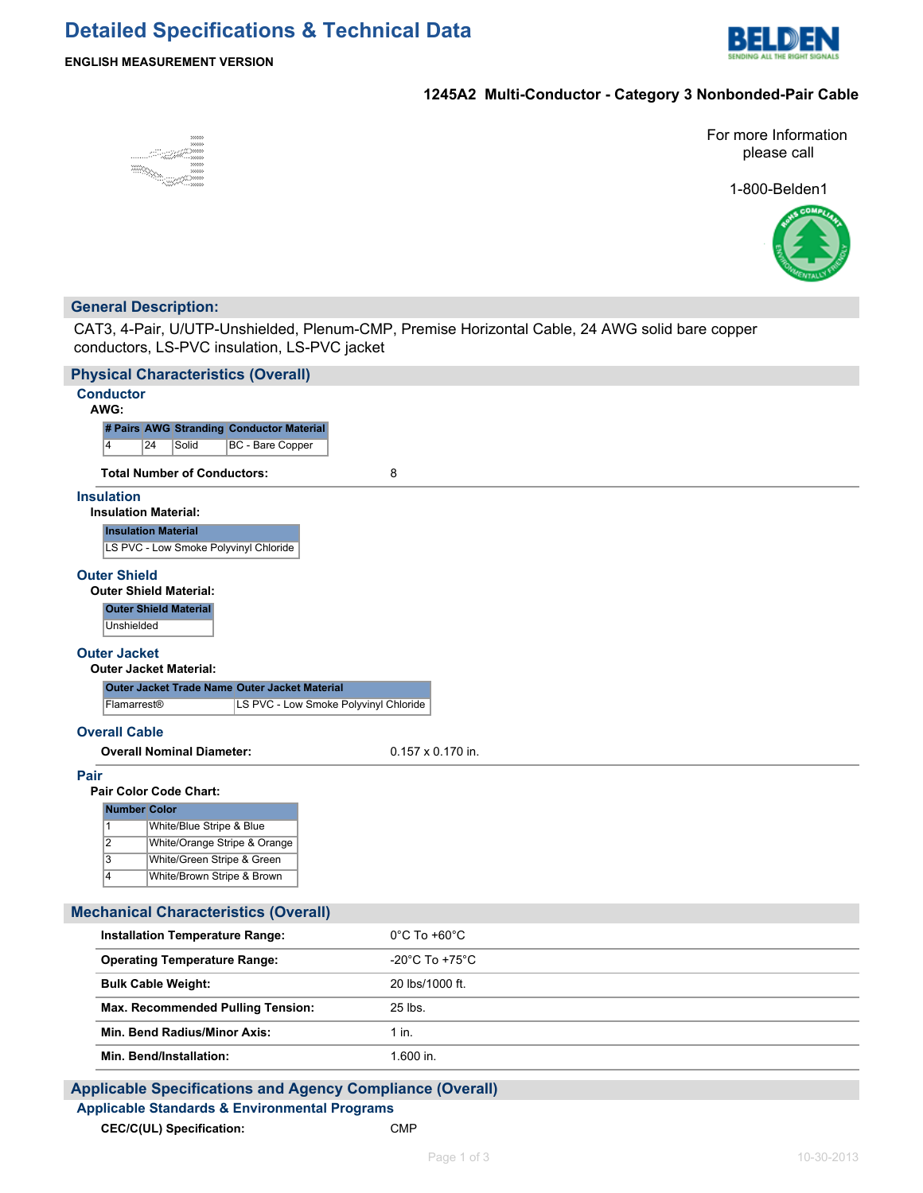

### **ENGLISH MEASUREMENT VERSION**

### **1245A2 Multi-Conductor - Category 3 Nonbonded-Pair Cable**



For more Information please call

1-800-Belden1



## **General Description:**

CAT3, 4-Pair, U/UTP-Unshielded, Plenum-CMP, Premise Horizontal Cable, 24 AWG solid bare copper conductors, LS-PVC insulation, LS-PVC jacket

| <b>Physical Characteristics (Overall)</b>                                                          |                                      |  |  |  |
|----------------------------------------------------------------------------------------------------|--------------------------------------|--|--|--|
| <b>Conductor</b><br>AWG:                                                                           |                                      |  |  |  |
| # Pairs AWG Stranding Conductor Material                                                           |                                      |  |  |  |
| $\overline{4}$<br><b>BC</b> - Bare Copper<br>24<br>Solid                                           |                                      |  |  |  |
| <b>Total Number of Conductors:</b>                                                                 | 8                                    |  |  |  |
| <b>Insulation</b><br><b>Insulation Material:</b>                                                   |                                      |  |  |  |
| <b>Insulation Material</b><br>LS PVC - Low Smoke Polyvinyl Chloride                                |                                      |  |  |  |
| <b>Outer Shield</b><br><b>Outer Shield Material:</b><br><b>Outer Shield Material</b><br>Unshielded |                                      |  |  |  |
|                                                                                                    |                                      |  |  |  |
| <b>Outer Jacket</b><br><b>Outer Jacket Material:</b>                                               |                                      |  |  |  |
| Outer Jacket Trade Name Outer Jacket Material                                                      |                                      |  |  |  |
| LS PVC - Low Smoke Polyvinyl Chloride<br>Flamarrest <sup>®</sup>                                   |                                      |  |  |  |
| <b>Overall Cable</b>                                                                               |                                      |  |  |  |
| <b>Overall Nominal Diameter:</b>                                                                   | $0.157 \times 0.170$ in.             |  |  |  |
| Pair<br><b>Pair Color Code Chart:</b>                                                              |                                      |  |  |  |
| <b>Number Color</b>                                                                                |                                      |  |  |  |
| White/Blue Stripe & Blue<br>$\overline{1}$                                                         |                                      |  |  |  |
| $\overline{2}$<br>White/Orange Stripe & Orange<br>$\overline{3}$<br>White/Green Stripe & Green     |                                      |  |  |  |
| White/Brown Stripe & Brown<br>$\overline{4}$                                                       |                                      |  |  |  |
|                                                                                                    |                                      |  |  |  |
| <b>Mechanical Characteristics (Overall)</b>                                                        |                                      |  |  |  |
| <b>Installation Temperature Range:</b>                                                             | $0^{\circ}$ C To +60 $^{\circ}$ C    |  |  |  |
| <b>Operating Temperature Range:</b>                                                                | -20 $^{\circ}$ C To +75 $^{\circ}$ C |  |  |  |
| <b>Bulk Cable Weight:</b>                                                                          | 20 lbs/1000 ft.                      |  |  |  |
| Max. Recommended Pulling Tension:                                                                  | 25 lbs.                              |  |  |  |
| Min. Bend Radius/Minor Axis:                                                                       | $1$ in.                              |  |  |  |
| Min. Bend/Installation:                                                                            | 1.600 in.                            |  |  |  |
|                                                                                                    |                                      |  |  |  |

## **Applicable Specifications and Agency Compliance (Overall) Applicable Standards & Environmental Programs CEC/C(UL) Specification:** CMP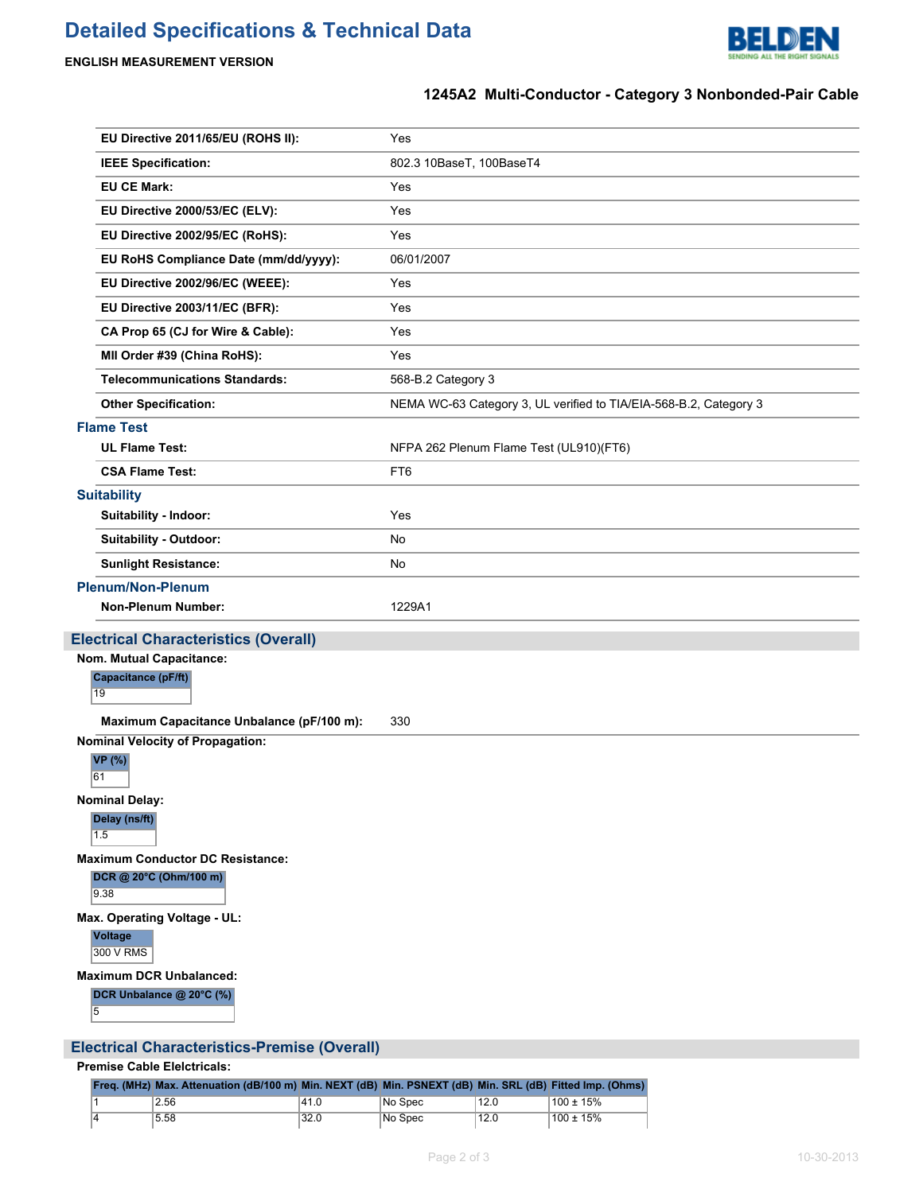# **Detailed Specifications & Technical Data**



## **ENGLISH MEASUREMENT VERSION**

# **1245A2 Multi-Conductor - Category 3 Nonbonded-Pair Cable**

| EU Directive 2011/65/EU (ROHS II):                                                   | Yes                                                               |
|--------------------------------------------------------------------------------------|-------------------------------------------------------------------|
| <b>IEEE Specification:</b>                                                           | 802.3 10BaseT, 100BaseT4                                          |
| <b>EU CE Mark:</b>                                                                   | Yes                                                               |
| EU Directive 2000/53/EC (ELV):                                                       | Yes                                                               |
| EU Directive 2002/95/EC (RoHS):                                                      | Yes                                                               |
| EU RoHS Compliance Date (mm/dd/yyyy):                                                | 06/01/2007                                                        |
| EU Directive 2002/96/EC (WEEE):                                                      | Yes                                                               |
| EU Directive 2003/11/EC (BFR):                                                       | Yes                                                               |
| CA Prop 65 (CJ for Wire & Cable):                                                    | Yes                                                               |
| MII Order #39 (China RoHS):                                                          | Yes                                                               |
| <b>Telecommunications Standards:</b>                                                 | 568-B.2 Category 3                                                |
| <b>Other Specification:</b>                                                          | NEMA WC-63 Category 3, UL verified to TIA/EIA-568-B.2, Category 3 |
| <b>Flame Test</b>                                                                    |                                                                   |
| <b>UL Flame Test:</b>                                                                | NFPA 262 Plenum Flame Test (UL910)(FT6)                           |
| <b>CSA Flame Test:</b>                                                               | FT6                                                               |
| <b>Suitability</b>                                                                   |                                                                   |
| Suitability - Indoor:                                                                | Yes                                                               |
| <b>Suitability - Outdoor:</b>                                                        | No                                                                |
| <b>Sunlight Resistance:</b>                                                          | No                                                                |
| <b>Plenum/Non-Plenum</b>                                                             |                                                                   |
| <b>Non-Plenum Number:</b>                                                            | 1229A1                                                            |
| <b>Electrical Characteristics (Overall)</b>                                          |                                                                   |
| Nom. Mutual Capacitance:                                                             |                                                                   |
| Capacitance (pF/ft)<br>19                                                            |                                                                   |
|                                                                                      |                                                                   |
| Maximum Capacitance Unbalance (pF/100 m):<br><b>Nominal Velocity of Propagation:</b> | 330                                                               |
| <b>VP</b> (%)<br>61                                                                  |                                                                   |
| <b>Nominal Delay:</b><br>Delay (ns/ft)<br>1.5                                        |                                                                   |
| <b>Maximum Conductor DC Resistance:</b><br>DCR @ 20°C (Ohm/100 m)<br>9.38            |                                                                   |
| Max. Operating Voltage - UL:                                                         |                                                                   |
| <b>Voltage</b><br>300 V RMS                                                          |                                                                   |

# **Electrical Characteristics-Premise (Overall)**

### **Premise Cable Elelctricals:**

|  | Freq. (MHz) Max. Attenuation (dB/100 m) Min. NEXT (dB) Min. PSNEXT (dB) Min. SRL (dB) Fitted Imp. (Ohms) |      |         |      |           |
|--|----------------------------------------------------------------------------------------------------------|------|---------|------|-----------|
|  | 2.56                                                                                                     | 41.0 | No Spec | 12.0 | 100 ± 15% |
|  | 5.58                                                                                                     | 32.0 | No Spec | 12.0 | 100 ± 15% |